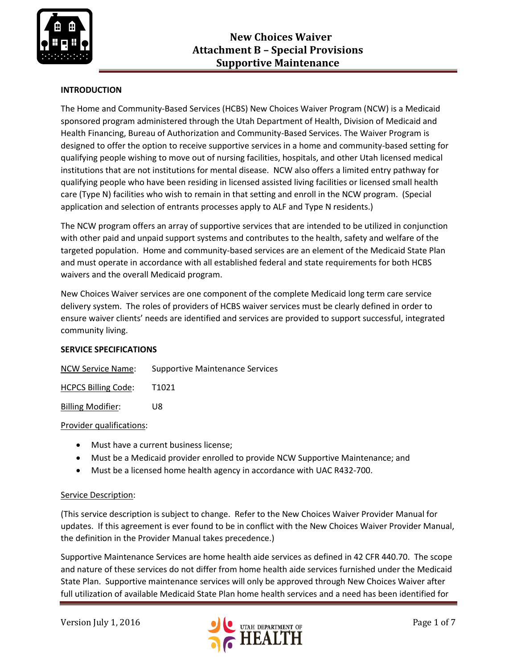

# **INTRODUCTION**

The Home and Community-Based Services (HCBS) New Choices Waiver Program (NCW) is a Medicaid sponsored program administered through the Utah Department of Health, Division of Medicaid and Health Financing, Bureau of Authorization and Community-Based Services. The Waiver Program is designed to offer the option to receive supportive services in a home and community-based setting for qualifying people wishing to move out of nursing facilities, hospitals, and other Utah licensed medical institutions that are not institutions for mental disease. NCW also offers a limited entry pathway for qualifying people who have been residing in licensed assisted living facilities or licensed small health care (Type N) facilities who wish to remain in that setting and enroll in the NCW program. (Special application and selection of entrants processes apply to ALF and Type N residents.)

The NCW program offers an array of supportive services that are intended to be utilized in conjunction with other paid and unpaid support systems and contributes to the health, safety and welfare of the targeted population. Home and community-based services are an element of the Medicaid State Plan and must operate in accordance with all established federal and state requirements for both HCBS waivers and the overall Medicaid program.

New Choices Waiver services are one component of the complete Medicaid long term care service delivery system. The roles of providers of HCBS waiver services must be clearly defined in order to ensure waiver clients' needs are identified and services are provided to support successful, integrated community living.

### **SERVICE SPECIFICATIONS**

| <b>NCW Service Name:</b> | <b>Supportive Maintenance Services</b> |
|--------------------------|----------------------------------------|
|                          |                                        |

HCPCS Billing Code: T1021

Billing Modifier: U8

#### Provider qualifications:

- Must have a current business license;
- Must be a Medicaid provider enrolled to provide NCW Supportive Maintenance; and
- Must be a licensed home health agency in accordance with UAC R432-700.

#### Service Description:

(This service description is subject to change. Refer to the New Choices Waiver Provider Manual for updates. If this agreement is ever found to be in conflict with the New Choices Waiver Provider Manual, the definition in the Provider Manual takes precedence.)

Supportive Maintenance Services are home health aide services as defined in 42 CFR 440.70. The scope and nature of these services do not differ from home health aide services furnished under the Medicaid State Plan. Supportive maintenance services will only be approved through New Choices Waiver after full utilization of available Medicaid State Plan home health services and a need has been identified for

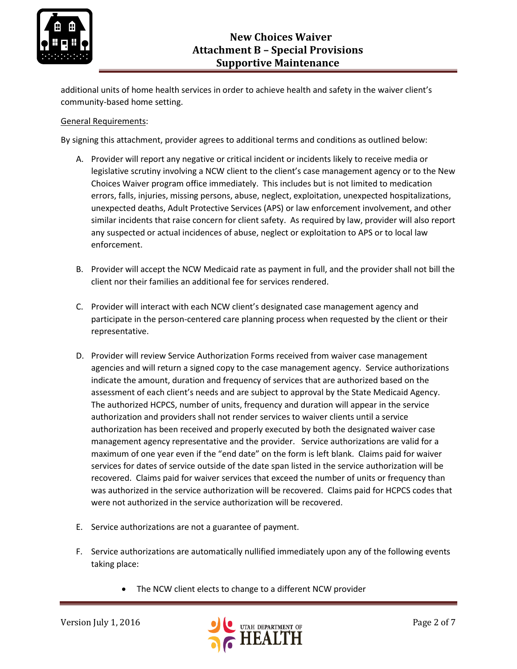

additional units of home health services in order to achieve health and safety in the waiver client's community-based home setting.

## General Requirements:

By signing this attachment, provider agrees to additional terms and conditions as outlined below:

- A. Provider will report any negative or critical incident or incidents likely to receive media or legislative scrutiny involving a NCW client to the client's case management agency or to the New Choices Waiver program office immediately. This includes but is not limited to medication errors, falls, injuries, missing persons, abuse, neglect, exploitation, unexpected hospitalizations, unexpected deaths, Adult Protective Services (APS) or law enforcement involvement, and other similar incidents that raise concern for client safety. As required by law, provider will also report any suspected or actual incidences of abuse, neglect or exploitation to APS or to local law enforcement.
- B. Provider will accept the NCW Medicaid rate as payment in full, and the provider shall not bill the client nor their families an additional fee for services rendered.
- C. Provider will interact with each NCW client's designated case management agency and participate in the person-centered care planning process when requested by the client or their representative.
- D. Provider will review Service Authorization Forms received from waiver case management agencies and will return a signed copy to the case management agency. Service authorizations indicate the amount, duration and frequency of services that are authorized based on the assessment of each client's needs and are subject to approval by the State Medicaid Agency. The authorized HCPCS, number of units, frequency and duration will appear in the service authorization and providers shall not render services to waiver clients until a service authorization has been received and properly executed by both the designated waiver case management agency representative and the provider. Service authorizations are valid for a maximum of one year even if the "end date" on the form is left blank. Claims paid for waiver services for dates of service outside of the date span listed in the service authorization will be recovered. Claims paid for waiver services that exceed the number of units or frequency than was authorized in the service authorization will be recovered. Claims paid for HCPCS codes that were not authorized in the service authorization will be recovered.
- E. Service authorizations are not a guarantee of payment.
- F. Service authorizations are automatically nullified immediately upon any of the following events taking place:
	- The NCW client elects to change to a different NCW provider

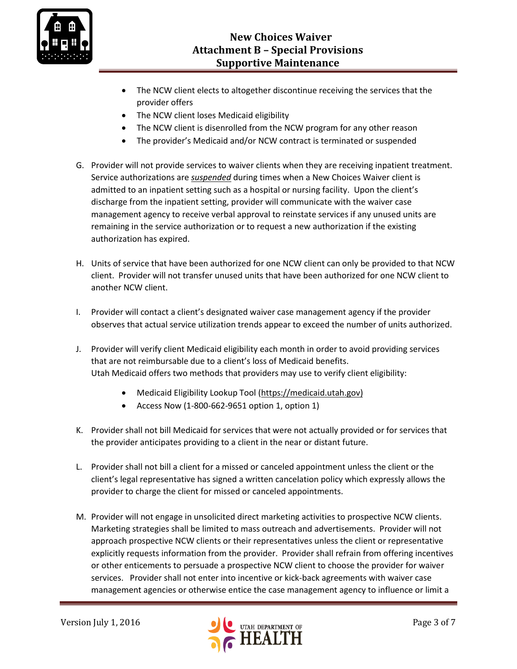

- The NCW client elects to altogether discontinue receiving the services that the provider offers
- The NCW client loses Medicaid eligibility
- The NCW client is disenrolled from the NCW program for any other reason
- The provider's Medicaid and/or NCW contract is terminated or suspended
- G. Provider will not provide services to waiver clients when they are receiving inpatient treatment. Service authorizations are *suspended* during times when a New Choices Waiver client is admitted to an inpatient setting such as a hospital or nursing facility. Upon the client's discharge from the inpatient setting, provider will communicate with the waiver case management agency to receive verbal approval to reinstate services if any unused units are remaining in the service authorization or to request a new authorization if the existing authorization has expired.
- H. Units of service that have been authorized for one NCW client can only be provided to that NCW client. Provider will not transfer unused units that have been authorized for one NCW client to another NCW client.
- I. Provider will contact a client's designated waiver case management agency if the provider observes that actual service utilization trends appear to exceed the number of units authorized.
- J. Provider will verify client Medicaid eligibility each month in order to avoid providing services that are not reimbursable due to a client's loss of Medicaid benefits. Utah Medicaid offers two methods that providers may use to verify client eligibility:
	- Medicaid Eligibility Lookup Tool [\(https://medicaid.utah.gov\)](https://medicaid.utah.gov/)
	- Access Now  $(1-800-662-9651$  option 1, option 1)
- K. Provider shall not bill Medicaid for services that were not actually provided or for services that the provider anticipates providing to a client in the near or distant future.
- L. Provider shall not bill a client for a missed or canceled appointment unless the client or the client's legal representative has signed a written cancelation policy which expressly allows the provider to charge the client for missed or canceled appointments.
- M. Provider will not engage in unsolicited direct marketing activities to prospective NCW clients. Marketing strategies shall be limited to mass outreach and advertisements. Provider will not approach prospective NCW clients or their representatives unless the client or representative explicitly requests information from the provider. Provider shall refrain from offering incentives or other enticements to persuade a prospective NCW client to choose the provider for waiver services. Provider shall not enter into incentive or kick-back agreements with waiver case management agencies or otherwise entice the case management agency to influence or limit a

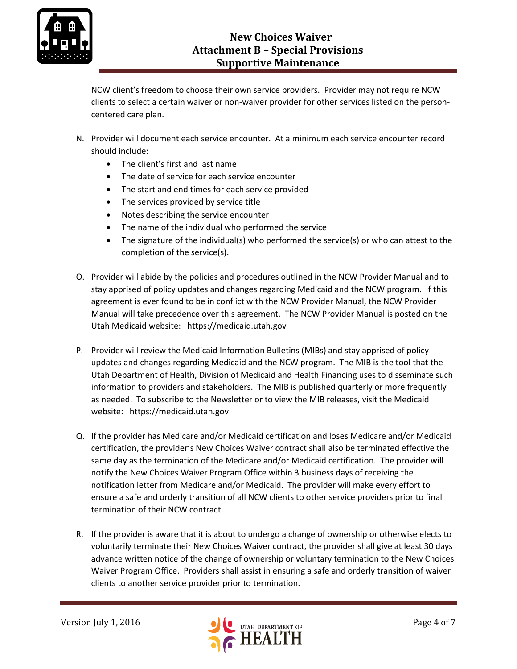

NCW client's freedom to choose their own service providers. Provider may not require NCW clients to select a certain waiver or non-waiver provider for other services listed on the personcentered care plan.

- N. Provider will document each service encounter. At a minimum each service encounter record should include:
	- The client's first and last name
	- The date of service for each service encounter
	- The start and end times for each service provided
	- The services provided by service title
	- Notes describing the service encounter
	- The name of the individual who performed the service
	- The signature of the individual(s) who performed the service(s) or who can attest to the completion of the service(s).
- O. Provider will abide by the policies and procedures outlined in the NCW Provider Manual and to stay apprised of policy updates and changes regarding Medicaid and the NCW program. If this agreement is ever found to be in conflict with the NCW Provider Manual, the NCW Provider Manual will take precedence over this agreement. The NCW Provider Manual is posted on the Utah Medicaid website: [https://medicaid.utah.gov](https://medicaid.utah.gov/)
- P. Provider will review the Medicaid Information Bulletins (MIBs) and stay apprised of policy updates and changes regarding Medicaid and the NCW program. The MIB is the tool that the Utah Department of Health, Division of Medicaid and Health Financing uses to disseminate such information to providers and stakeholders. The MIB is published quarterly or more frequently as needed. To subscribe to the Newsletter or to view the MIB releases, visit the Medicaid website: [https://medicaid.utah.gov](https://medicaid.utah.gov/)
- Q. If the provider has Medicare and/or Medicaid certification and loses Medicare and/or Medicaid certification, the provider's New Choices Waiver contract shall also be terminated effective the same day as the termination of the Medicare and/or Medicaid certification. The provider will notify the New Choices Waiver Program Office within 3 business days of receiving the notification letter from Medicare and/or Medicaid. The provider will make every effort to ensure a safe and orderly transition of all NCW clients to other service providers prior to final termination of their NCW contract.
- R. If the provider is aware that it is about to undergo a change of ownership or otherwise elects to voluntarily terminate their New Choices Waiver contract, the provider shall give at least 30 days advance written notice of the change of ownership or voluntary termination to the New Choices Waiver Program Office. Providers shall assist in ensuring a safe and orderly transition of waiver clients to another service provider prior to termination.

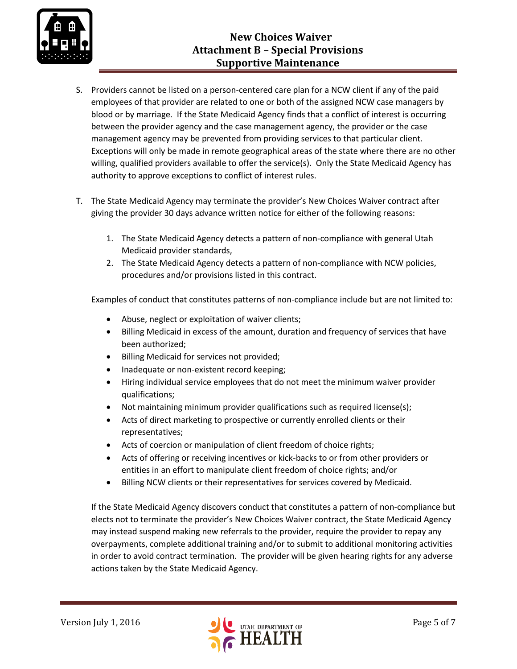

- S. Providers cannot be listed on a person-centered care plan for a NCW client if any of the paid employees of that provider are related to one or both of the assigned NCW case managers by blood or by marriage. If the State Medicaid Agency finds that a conflict of interest is occurring between the provider agency and the case management agency, the provider or the case management agency may be prevented from providing services to that particular client. Exceptions will only be made in remote geographical areas of the state where there are no other willing, qualified providers available to offer the service(s). Only the State Medicaid Agency has authority to approve exceptions to conflict of interest rules.
- T. The State Medicaid Agency may terminate the provider's New Choices Waiver contract after giving the provider 30 days advance written notice for either of the following reasons:
	- 1. The State Medicaid Agency detects a pattern of non-compliance with general Utah Medicaid provider standards,
	- 2. The State Medicaid Agency detects a pattern of non-compliance with NCW policies, procedures and/or provisions listed in this contract.

Examples of conduct that constitutes patterns of non-compliance include but are not limited to:

- Abuse, neglect or exploitation of waiver clients;
- Billing Medicaid in excess of the amount, duration and frequency of services that have been authorized;
- Billing Medicaid for services not provided;
- Inadequate or non-existent record keeping;
- Hiring individual service employees that do not meet the minimum waiver provider qualifications;
- Not maintaining minimum provider qualifications such as required license(s);
- Acts of direct marketing to prospective or currently enrolled clients or their representatives;
- Acts of coercion or manipulation of client freedom of choice rights;
- Acts of offering or receiving incentives or kick-backs to or from other providers or entities in an effort to manipulate client freedom of choice rights; and/or
- Billing NCW clients or their representatives for services covered by Medicaid.

If the State Medicaid Agency discovers conduct that constitutes a pattern of non-compliance but elects not to terminate the provider's New Choices Waiver contract, the State Medicaid Agency may instead suspend making new referrals to the provider, require the provider to repay any overpayments, complete additional training and/or to submit to additional monitoring activities in order to avoid contract termination. The provider will be given hearing rights for any adverse actions taken by the State Medicaid Agency.

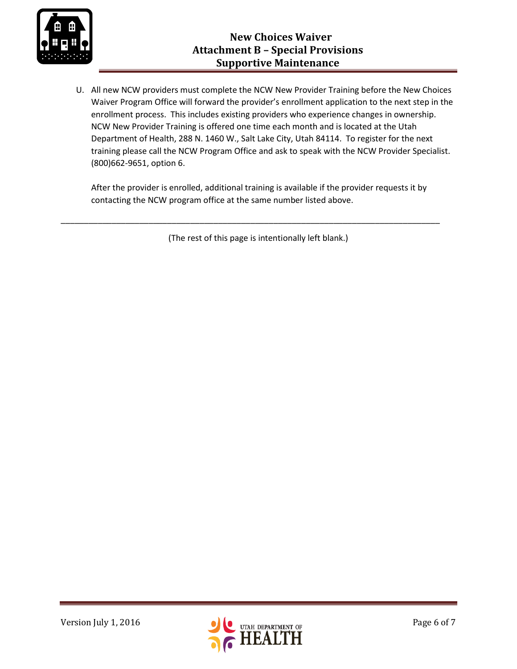

U. All new NCW providers must complete the NCW New Provider Training before the New Choices Waiver Program Office will forward the provider's enrollment application to the next step in the enrollment process. This includes existing providers who experience changes in ownership. NCW New Provider Training is offered one time each month and is located at the Utah Department of Health, 288 N. 1460 W., Salt Lake City, Utah 84114. To register for the next training please call the NCW Program Office and ask to speak with the NCW Provider Specialist. (800)662-9651, option 6.

After the provider is enrolled, additional training is available if the provider requests it by contacting the NCW program office at the same number listed above.

(The rest of this page is intentionally left blank.)

\_\_\_\_\_\_\_\_\_\_\_\_\_\_\_\_\_\_\_\_\_\_\_\_\_\_\_\_\_\_\_\_\_\_\_\_\_\_\_\_\_\_\_\_\_\_\_\_\_\_\_\_\_\_\_\_\_\_\_\_\_\_\_\_\_\_\_\_\_\_\_\_\_\_\_\_\_\_\_\_\_\_